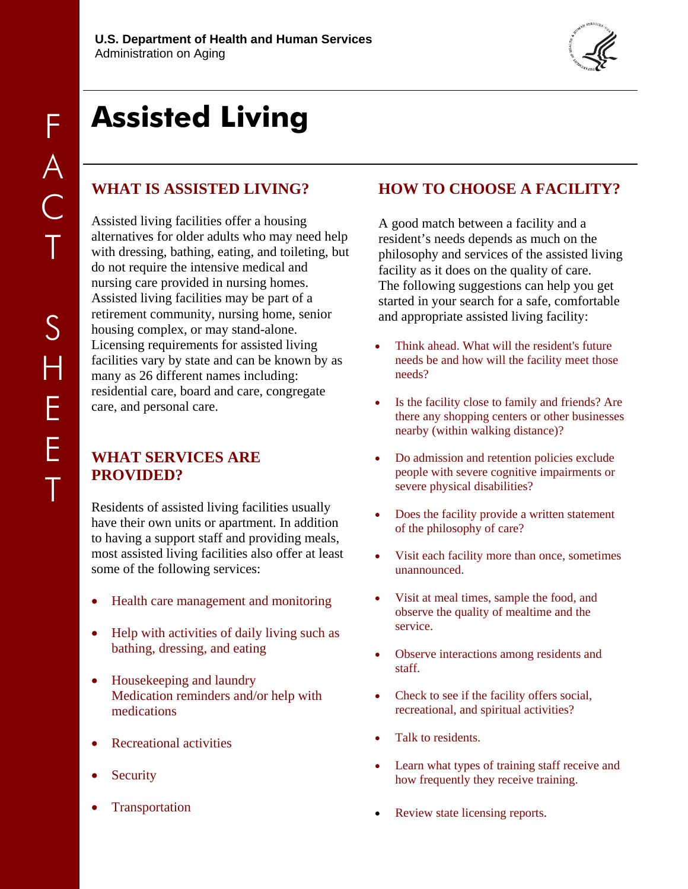

# **Assisted Living**

# **WHAT IS ASSISTED LIVING?**

Assisted living facilities offer a housing alternatives for older adults who may need help with dressing, bathing, eating, and toileting, but do not require the intensive medical and nursing care provided in nursing homes. Assisted living facilities may be part of a retirement community, nursing home, senior housing complex, or may stand-alone. Licensing requirements for assisted living facilities vary by state and can be known by as many as 26 different names including: residential care, board and care, congregate care, and personal care.

## **WHAT SERVICES ARE PROVIDED?**

Residents of assisted living facilities usually have their own units or apartment. In addition to having a support staff and providing meals, most assisted living facilities also offer at least some of the following services:

- Health care management and monitoring
- Help with activities of daily living such as bathing, dressing, and eating
- Housekeeping and laundry Medication reminders and/or help with medications
- Recreational activities
- **Security**
- **Transportation**

## **HOW TO CHOOSE A FACILITY?**

A good match between a facility and a resident's needs depends as much on the philosophy and services of the assisted living facility as it does on the quality of care. The following suggestions can help you get started in your search for a safe, comfortable and appropriate assisted living facility:

- Think ahead. What will the resident's future needs be and how will the facility meet those needs?
- Is the facility close to family and friends? Are there any shopping centers or other businesses nearby (within walking distance)?
- Do admission and retention policies exclude people with severe cognitive impairments or severe physical disabilities?
- Does the facility provide a written statement of the philosophy of care?
- Visit each facility more than once, sometimes unannounced.
- Visit at meal times, sample the food, and observe the quality of mealtime and the service.
- Observe interactions among residents and staff.
- Check to see if the facility offers social, recreational, and spiritual activities?
- Talk to residents.
- Learn what types of training staff receive and how frequently they receive training.
- Review state licensing reports.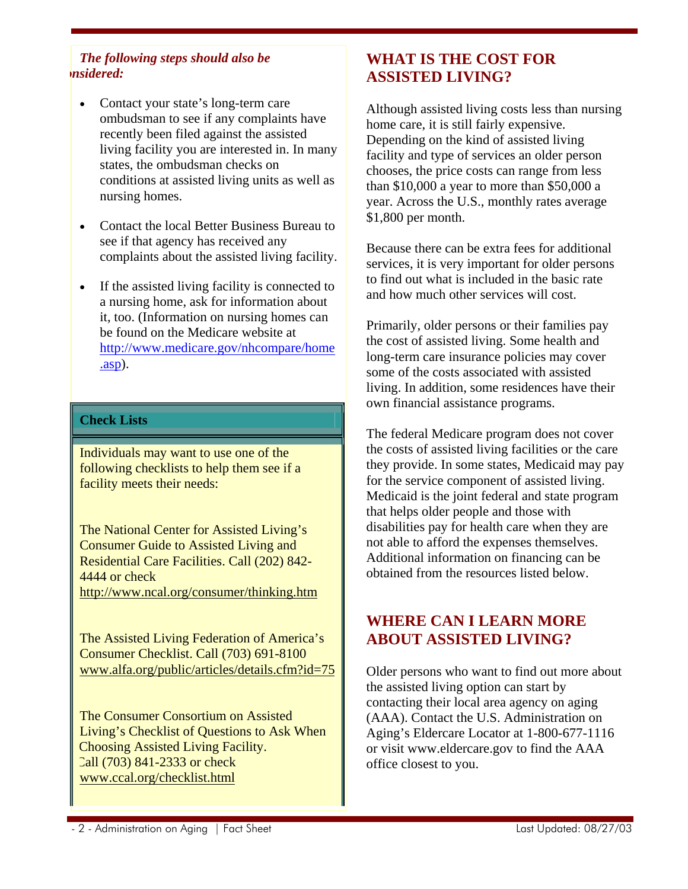#### *The following steps should also be onsidered:*

- Contact your state's long-term care ombudsman to see if any complaints have recently been filed against the assisted living facility you are interested in. In many states, the ombudsman checks on conditions at assisted living units as well as nursing homes.
- Contact the local Better Business Bureau to see if that agency has received any complaints about the assisted living facility.
- If the assisted living facility is connected to a nursing home, ask for information about it, too. (Information on nursing homes can be found on the Medicare website at [http://www.medicare.gov/nhcompare/home](http://www.medicare.gov/nhcompare/home.asp) [.asp\)](http://www.medicare.gov/nhcompare/home.asp).

#### **Check Lists**

Individuals may want to use one of the following checklists to help them see if a facility meets their needs:

The National Center for Assisted Living's Consumer Guide to Assisted Living and Residential Care Facilities. Call (202) 842- 4444 or check <http://www.ncal.org/consumer/thinking.htm>

The Assisted Living Federation of America's Consumer Checklist. Call (703) 691-8100 [www.alfa.org/public/articles/details.cfm?id=75](http://www.alfa.org/public/articles/details.cfm?id=75)

 The Consumer Consortium on Assisted Living's Checklist of Questions to Ask When Choosing Assisted Living Facility. Call (703) 841-2333 or check [www.ccal.org/checklist.html](http://www.ccal.org/checklist.html)

# **WHAT IS THE COST FOR ASSISTED LIVING?**

Although assisted living costs less than nursing home care, it is still fairly expensive. Depending on the kind of assisted living facility and type of services an older person chooses, the price costs can range from less than \$10,000 a year to more than \$50,000 a year. Across the U.S., monthly rates average \$1,800 per month.

Because there can be extra fees for additional services, it is very important for older persons to find out what is included in the basic rate and how much other services will cost.

Primarily, older persons or their families pay the cost of assisted living. Some health and long-term care insurance policies may cover some of the costs associated with assisted living. In addition, some residences have their own financial assistance programs.

The federal Medicare program does not cover the costs of assisted living facilities or the care they provide. In some states, Medicaid may pay for the service component of assisted living. Medicaid is the joint federal and state program that helps older people and those with disabilities pay for health care when they are not able to afford the expenses themselves. Additional information on financing can be obtained from the resources listed below.

## **WHERE CAN I LEARN MORE ABOUT ASSISTED LIVING?**

Older persons who want to find out more about the assisted living option can start by contacting their local area agency on aging (AAA). Contact the U.S. Administration on Aging's Eldercare Locator at 1-800-677-1116 or visit www.eldercare.gov to find the AAA office closest to you.